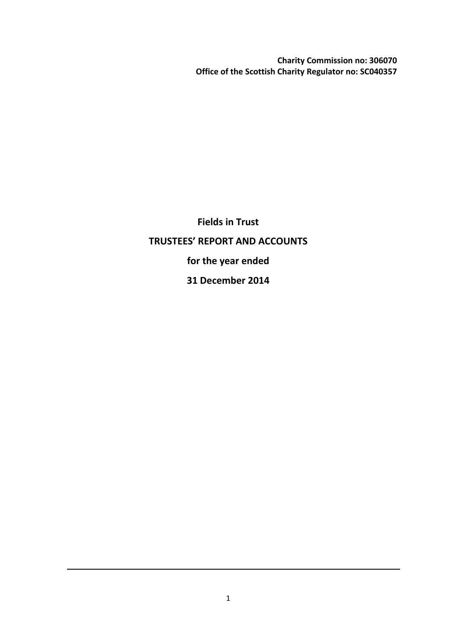**Charity Commission no: 306070 Office of the Scottish Charity Regulator no: SC040357**

**Fields in Trust TRUSTEES' REPORT AND ACCOUNTS for the year ended 31 December 2014**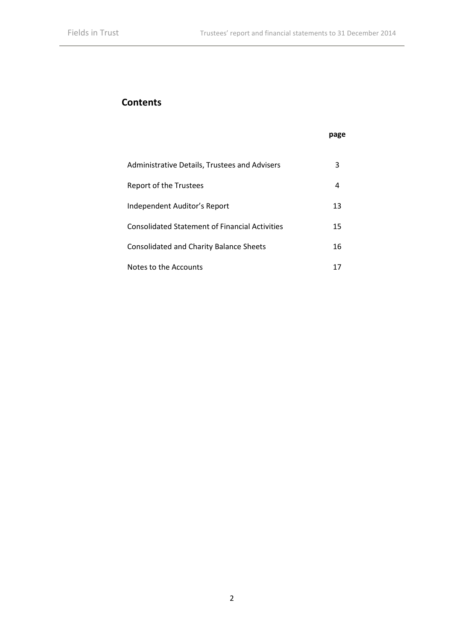# **Contents**

## **page**

| Administrative Details, Trustees and Advisers  |    |
|------------------------------------------------|----|
| Report of the Trustees                         |    |
| Independent Auditor's Report                   | 13 |
| Consolidated Statement of Financial Activities | 15 |
| <b>Consolidated and Charity Balance Sheets</b> | 16 |
| Notes to the Accounts                          |    |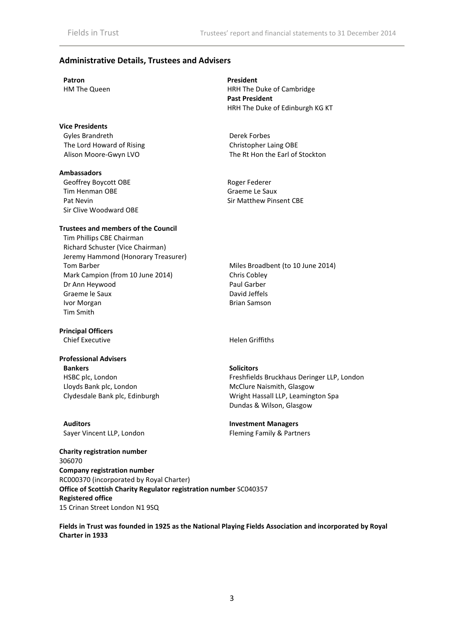#### **Administrative Details, Trustees and Advisers**

#### **Vice Presidents**

Gyles Brandreth **Derek Forbes**<br>
The Lord Howard of Rising **Derek Forbes**<br>
Christopher Laing OBE The Lord Howard of Rising

#### **Ambassadors**

Geoffrey Boycott OBE Roger Federer Tim Henman OBE Graeme Le Saux Pat Nevin **Pat Nevin** Sir Matthew Pinsent CBE Sir Clive Woodward OBE

#### **Trustees and members of the Council**

Tim Phillips CBE Chairman Richard Schuster (Vice Chairman) Jeremy Hammond (Honorary Treasurer) Tom Barber Mark Campion (from 10 June 2014) Dr Ann Heywood Graeme le Saux Ivor Morgan Tim Smith

#### **Principal Officers**

### **Professional Advisers**

**Bankers Solicitors** HSBC plc, London Lloyds Bank plc, London Clydesdale Bank plc, Edinburgh

**Auditors Investment Managers** Sayer Vincent LLP, London Fleming Family & Partners

**Patron President** HM The Queen HRH The Duke of Cambridge **Past President** HRH The Duke of Edinburgh KG KT

Alison Moore-Gwyn LVO The Rt Hon the Earl of Stockton

Miles Broadbent (to 10 June 2014) Chris Cobley Paul Garber David Jeffels Brian Samson

Chief Executive **Helen Griffiths** 

Freshfields Bruckhaus Deringer LLP, London McClure Naismith, Glasgow Wright Hassall LLP, Leamington Spa Dundas & Wilson, Glasgow

**Charity registration number** 306070 **Company registration number** RC000370 (incorporated by Royal Charter) **Office of Scottish Charity Regulator registration number** SC040357 **Registered office** 15 Crinan Street London N1 9SQ

**Fields in Trust was founded in 1925 as the National Playing Fields Association and incorporated by Royal Charter in 1933**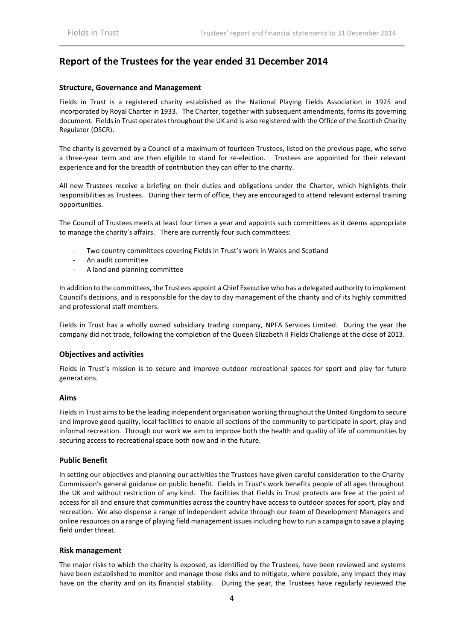# **Report of the Trustees for the year ended 31 December 2014**

#### **Structure, Governance and Management**

Fields in Trust is a registered charity established as the National Playing Fields Association in 1925 and incorporated by Royal Charter in 1933. The Charter, together with subsequent amendments, forms its governing document. Fields in Trust operates throughout the UK and is also registered with the Office of the Scottish Charity Regulator (OSCR).

The charity is governed by a Council of a maximum of fourteen Trustees, listed on the previous page, who serve a three-year term and are then eligible to stand for re-election. Trustees are appointed for their relevant experience and for the breadth of contribution they can offer to the charity.

All new Trustees receive a briefing on their duties and obligations under the Charter, which highlights their responsibilities as Trustees. During their term of office, they are encouraged to attend relevant external training opportunities.

The Council of Trustees meets at least four times a year and appoints such committees as it deems appropriate to manage the charity's affairs. There are currently four such committees:

- Two country committees covering Fields in Trust's work in Wales and Scotland
- An audit committee
- A land and planning committee

In addition to the committees, the Trustees appoint a Chief Executive who has a delegated authority to implement Council's decisions, and is responsible for the day to day management of the charity and of its highly committed and professional staff members.

Fields in Trust has a wholly owned subsidiary trading company, NPFA Services Limited. During the year the company did not trade, following the completion of the Queen Elizabeth II Fields Challenge at the close of 2013.

#### **Objectives and activities**

Fields in Trust's mission is to secure and improve outdoor recreational spaces for sport and play for future generations.

#### **Aims**

Fields in Trust aims to be the leading independent organisation working throughout the United Kingdom to secure and improve good quality, local facilities to enable all sections of the community to participate in sport, play and informal recreation. Through our work we aim to improve both the health and quality of life of communities by securing access to recreational space both now and in the future.

#### **Public Benefit**

In setting our objectives and planning our activities the Trustees have given careful consideration to the Charity Commission's general guidance on public benefit. Fields in Trust's work benefits people of all ages throughout the UK and without restriction of any kind. The facilities that Fields in Trust protects are free at the point of access for all and ensure that communities across the country have access to outdoor spaces for sport, play and recreation. We also dispense a range of independent advice through our team of Development Managers and online resources on a range of playing field management issues including how to run a campaign to save a playing field under threat.

#### **Risk management**

The major risks to which the charity is exposed, as identified by the Trustees, have been reviewed and systems have been established to monitor and manage those risks and to mitigate, where possible, any impact they may have on the charity and on its financial stability. During the year, the Trustees have regularly reviewed the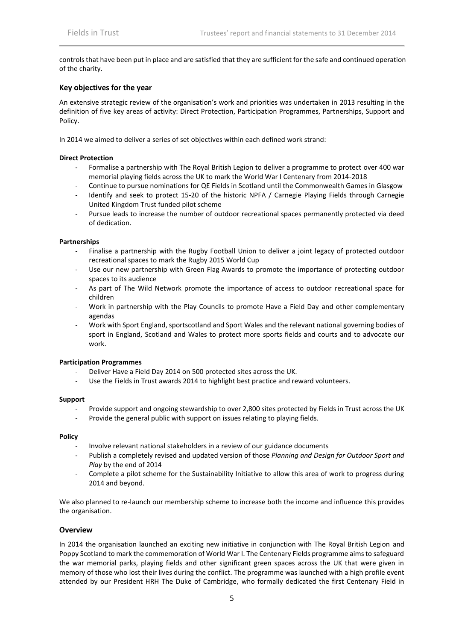controls that have been put in place and are satisfied that they are sufficient for the safe and continued operation of the charity.

#### **Key objectives for the year**

An extensive strategic review of the organisation's work and priorities was undertaken in 2013 resulting in the definition of five key areas of activity: Direct Protection, Participation Programmes, Partnerships, Support and Policy.

In 2014 we aimed to deliver a series of set objectives within each defined work strand:

#### **Direct Protection**

- Formalise a partnership with The Royal British Legion to deliver a programme to protect over 400 war memorial playing fields across the UK to mark the World War I Centenary from 2014-2018
- Continue to pursue nominations for QE Fields in Scotland until the Commonwealth Games in Glasgow
- Identify and seek to protect 15-20 of the historic NPFA / Carnegie Playing Fields through Carnegie United Kingdom Trust funded pilot scheme
- Pursue leads to increase the number of outdoor recreational spaces permanently protected via deed of dedication.

#### **Partnerships**

- Finalise a partnership with the Rugby Football Union to deliver a joint legacy of protected outdoor recreational spaces to mark the Rugby 2015 World Cup
- Use our new partnership with Green Flag Awards to promote the importance of protecting outdoor spaces to its audience
- As part of The Wild Network promote the importance of access to outdoor recreational space for children
- Work in partnership with the Play Councils to promote Have a Field Day and other complementary agendas
- Work with Sport England, sportscotland and Sport Wales and the relevant national governing bodies of sport in England, Scotland and Wales to protect more sports fields and courts and to advocate our work.

#### **Participation Programmes**

- Deliver Have a Field Day 2014 on 500 protected sites across the UK.
- Use the Fields in Trust awards 2014 to highlight best practice and reward volunteers.

#### **Support**

- Provide support and ongoing stewardship to over 2,800 sites protected by Fields in Trust across the UK
- Provide the general public with support on issues relating to playing fields.

#### **Policy**

- Involve relevant national stakeholders in a review of our guidance documents
- Publish a completely revised and updated version of those *Planning and Design for Outdoor Sport and Play* by the end of 2014
- Complete a pilot scheme for the Sustainability Initiative to allow this area of work to progress during 2014 and beyond.

We also planned to re-launch our membership scheme to increase both the income and influence this provides the organisation.

#### **Overview**

In 2014 the organisation launched an exciting new initiative in conjunction with The Royal British Legion and Poppy Scotland to mark the commemoration of World War I. The Centenary Fields programme aims to safeguard the war memorial parks, playing fields and other significant green spaces across the UK that were given in memory of those who lost their lives during the conflict. The programme was launched with a high profile event attended by our President HRH The Duke of Cambridge, who formally dedicated the first Centenary Field in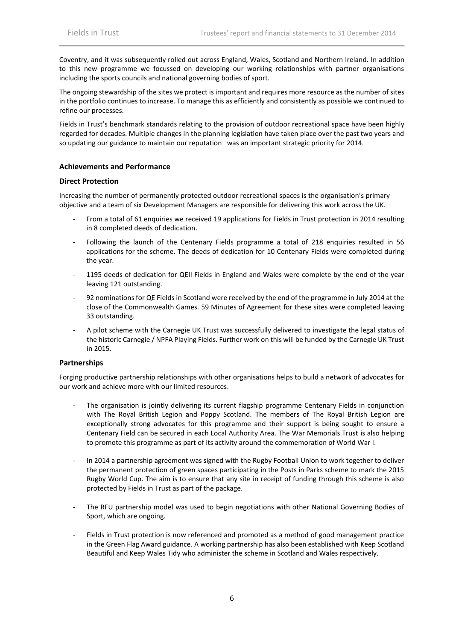Coventry, and it was subsequently rolled out across England, Wales, Scotland and Northern Ireland. In addition to this new programme we focussed on developing our working relationships with partner organisations including the sports councils and national governing bodies of sport.

The ongoing stewardship of the sites we protect is important and requires more resource as the number of sites in the portfolio continues to increase. To manage this as efficiently and consistently as possible we continued to refine our processes.

Fields in Trust's benchmark standards relating to the provision of outdoor recreational space have been highly regarded for decades. Multiple changes in the planning legislation have taken place over the past two years and so updating our guidance to maintain our reputation was an important strategic priority for 2014.

#### **Achievements and Performance**

#### **Direct Protection**

Increasing the number of permanently protected outdoor recreational spaces is the organisation's primary objective and a team of six Development Managers are responsible for delivering this work across the UK.

- From a total of 61 enquiries we received 19 applications for Fields in Trust protection in 2014 resulting in 8 completed deeds of dedication.
- Following the launch of the Centenary Fields programme a total of 218 enquiries resulted in 56 applications for the scheme. The deeds of dedication for 10 Centenary Fields were completed during the year.
- 1195 deeds of dedication for QEII Fields in England and Wales were complete by the end of the year leaving 121 outstanding.
- 92 nominations for QE Fields in Scotland were received by the end of the programme in July 2014 at the close of the Commonwealth Games. 59 Minutes of Agreement for these sites were completed leaving 33 outstanding.
- A pilot scheme with the Carnegie UK Trust was successfully delivered to investigate the legal status of the historic Carnegie / NPFA Playing Fields. Further work on this will be funded by the Carnegie UK Trust in 2015.

#### **Partnerships**

Forging productive partnership relationships with other organisations helps to build a network of advocates for our work and achieve more with our limited resources.

- The organisation is jointly delivering its current flagship programme Centenary Fields in conjunction with The Royal British Legion and Poppy Scotland. The members of The Royal British Legion are exceptionally strong advocates for this programme and their support is being sought to ensure a Centenary Field can be secured in each Local Authority Area. The War Memorials Trust is also helping to promote this programme as part of its activity around the commemoration of World War I.
- In 2014 a partnership agreement was signed with the Rugby Football Union to work together to deliver the permanent protection of green spaces participating in the Posts in Parks scheme to mark the 2015 Rugby World Cup. The aim is to ensure that any site in receipt of funding through this scheme is also protected by Fields in Trust as part of the package.
- The RFU partnership model was used to begin negotiations with other National Governing Bodies of Sport, which are ongoing.
- Fields in Trust protection is now referenced and promoted as a method of good management practice in the Green Flag Award guidance. A working partnership has also been established with Keep Scotland Beautiful and Keep Wales Tidy who administer the scheme in Scotland and Wales respectively.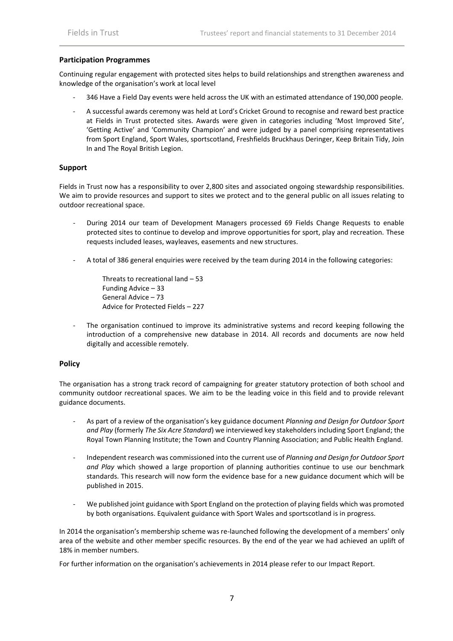#### **Participation Programmes**

Continuing regular engagement with protected sites helps to build relationships and strengthen awareness and knowledge of the organisation's work at local level

- 346 Have a Field Day events were held across the UK with an estimated attendance of 190,000 people.
- A successful awards ceremony was held at Lord's Cricket Ground to recognise and reward best practice at Fields in Trust protected sites. Awards were given in categories including 'Most Improved Site', 'Getting Active' and 'Community Champion' and were judged by a panel comprising representatives from Sport England, Sport Wales, sportscotland, Freshfields Bruckhaus Deringer, Keep Britain Tidy, Join In and The Royal British Legion.

#### **Support**

Fields in Trust now has a responsibility to over 2,800 sites and associated ongoing stewardship responsibilities. We aim to provide resources and support to sites we protect and to the general public on all issues relating to outdoor recreational space.

- During 2014 our team of Development Managers processed 69 Fields Change Requests to enable protected sites to continue to develop and improve opportunities for sport, play and recreation. These requests included leases, wayleaves, easements and new structures.
- A total of 386 general enquiries were received by the team during 2014 in the following categories:
	- Threats to recreational land 53 Funding Advice – 33 General Advice – 73 Advice for Protected Fields – 227
- The organisation continued to improve its administrative systems and record keeping following the introduction of a comprehensive new database in 2014. All records and documents are now held digitally and accessible remotely.

#### **Policy**

The organisation has a strong track record of campaigning for greater statutory protection of both school and community outdoor recreational spaces. We aim to be the leading voice in this field and to provide relevant guidance documents.

- As part of a review of the organisation's key guidance document *Planning and Design for Outdoor Sport and Play* (formerly *The Six Acre Standard*) we interviewed key stakeholders including Sport England; the Royal Town Planning Institute; the Town and Country Planning Association; and Public Health England.
- Independent research was commissioned into the current use of *Planning and Design for Outdoor Sport and Play* which showed a large proportion of planning authorities continue to use our benchmark standards. This research will now form the evidence base for a new guidance document which will be published in 2015.
- We published joint guidance with Sport England on the protection of playing fields which was promoted by both organisations. Equivalent guidance with Sport Wales and sportscotland is in progress.

In 2014 the organisation's membership scheme was re-launched following the development of a members' only area of the website and other member specific resources. By the end of the year we had achieved an uplift of 18% in member numbers.

For further information on the organisation's achievements in 2014 please refer to our Impact Report.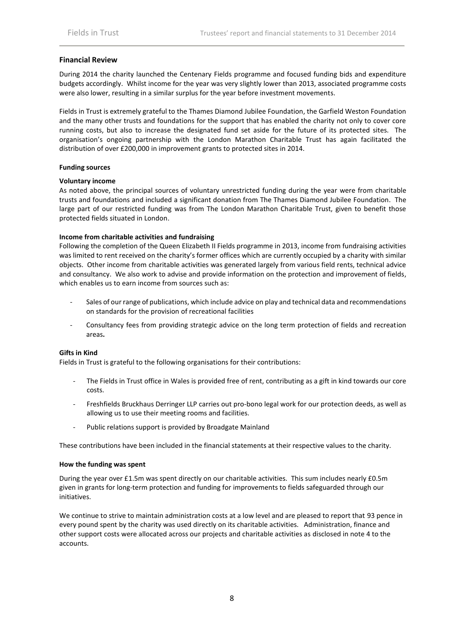#### **Financial Review**

During 2014 the charity launched the Centenary Fields programme and focused funding bids and expenditure budgets accordingly. Whilst income for the year was very slightly lower than 2013, associated programme costs were also lower, resulting in a similar surplus for the year before investment movements.

Fields in Trust is extremely grateful to the Thames Diamond Jubilee Foundation, the Garfield Weston Foundation and the many other trusts and foundations for the support that has enabled the charity not only to cover core running costs, but also to increase the designated fund set aside for the future of its protected sites. The organisation's ongoing partnership with the London Marathon Charitable Trust has again facilitated the distribution of over £200,000 in improvement grants to protected sites in 2014.

#### **Funding sources**

#### **Voluntary income**

As noted above, the principal sources of voluntary unrestricted funding during the year were from charitable trusts and foundations and included a significant donation from The Thames Diamond Jubilee Foundation. The large part of our restricted funding was from The London Marathon Charitable Trust, given to benefit those protected fields situated in London.

#### **Income from charitable activities and fundraising**

Following the completion of the Queen Elizabeth II Fields programme in 2013, income from fundraising activities was limited to rent received on the charity's former offices which are currently occupied by a charity with similar objects. Other income from charitable activities was generated largely from various field rents, technical advice and consultancy. We also work to advise and provide information on the protection and improvement of fields, which enables us to earn income from sources such as:

- Sales of our range of publications, which include advice on play and technical data and recommendations on standards for the provision of recreational facilities
- Consultancy fees from providing strategic advice on the long term protection of fields and recreation areas**.**

#### **Gifts in Kind**

Fields in Trust is grateful to the following organisations for their contributions:

- The Fields in Trust office in Wales is provided free of rent, contributing as a gift in kind towards our core costs.
- Freshfields Bruckhaus Derringer LLP carries out pro-bono legal work for our protection deeds, as well as allowing us to use their meeting rooms and facilities.
- Public relations support is provided by Broadgate Mainland

These contributions have been included in the financial statements at their respective values to the charity.

#### **How the funding was spent**

During the year over £1.5m was spent directly on our charitable activities. This sum includes nearly £0.5m given in grants for long-term protection and funding for improvements to fields safeguarded through our initiatives.

We continue to strive to maintain administration costs at a low level and are pleased to report that 93 pence in every pound spent by the charity was used directly on its charitable activities. Administration, finance and other support costs were allocated across our projects and charitable activities as disclosed in note 4 to the accounts.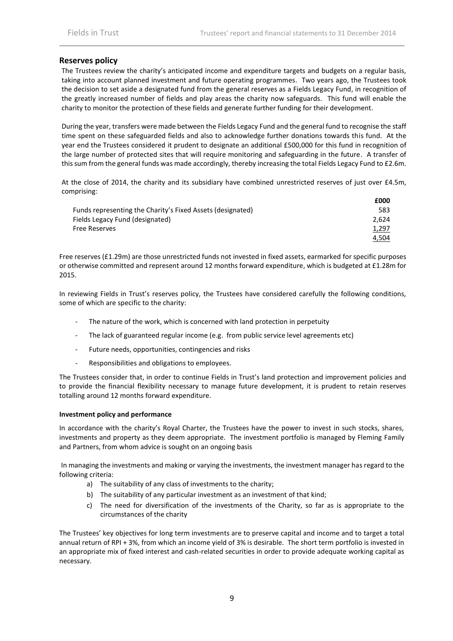**£000**

### **Reserves policy**

The Trustees review the charity's anticipated income and expenditure targets and budgets on a regular basis, taking into account planned investment and future operating programmes. Two years ago, the Trustees took the decision to set aside a designated fund from the general reserves as a Fields Legacy Fund, in recognition of the greatly increased number of fields and play areas the charity now safeguards. This fund will enable the charity to monitor the protection of these fields and generate further funding for their development.

During the year, transfers were made between the Fields Legacy Fund and the general fund to recognise the staff time spent on these safeguarded fields and also to acknowledge further donations towards this fund. At the year end the Trustees considered it prudent to designate an additional £500,000 for this fund in recognition of the large number of protected sites that will require monitoring and safeguarding in the future. A transfer of this sum from the general funds was made accordingly, thereby increasing the total Fields Legacy Fund to £2.6m.

At the close of 2014, the charity and its subsidiary have combined unrestricted reserves of just over £4.5m, comprising:

|                                                            | ᅩ◡◡   |
|------------------------------------------------------------|-------|
| Funds representing the Charity's Fixed Assets (designated) | 583   |
| Fields Legacy Fund (designated)                            | 2.624 |
| <b>Free Reserves</b>                                       | 1,297 |
|                                                            | 4,504 |

Free reserves (£1.29m) are those unrestricted funds not invested in fixed assets, earmarked for specific purposes or otherwise committed and represent around 12 months forward expenditure, which is budgeted at £1.28m for 2015.

In reviewing Fields in Trust's reserves policy, the Trustees have considered carefully the following conditions, some of which are specific to the charity:

- The nature of the work, which is concerned with land protection in perpetuity
- The lack of guaranteed regular income (e.g. from public service level agreements etc)
- Future needs, opportunities, contingencies and risks
- Responsibilities and obligations to employees.

The Trustees consider that, in order to continue Fields in Trust's land protection and improvement policies and to provide the financial flexibility necessary to manage future development, it is prudent to retain reserves totalling around 12 months forward expenditure.

#### **Investment policy and performance**

In accordance with the charity's Royal Charter, the Trustees have the power to invest in such stocks, shares, investments and property as they deem appropriate. The investment portfolio is managed by Fleming Family and Partners, from whom advice is sought on an ongoing basis

In managing the investments and making or varying the investments, the investment manager has regard to the following criteria:

- a) The suitability of any class of investments to the charity;
- b) The suitability of any particular investment as an investment of that kind;
- c) The need for diversification of the investments of the Charity, so far as is appropriate to the circumstances of the charity

The Trustees' key objectives for long term investments are to preserve capital and income and to target a total annual return of RPI + 3%, from which an income yield of 3% is desirable. The short term portfolio is invested in an appropriate mix of fixed interest and cash-related securities in order to provide adequate working capital as necessary.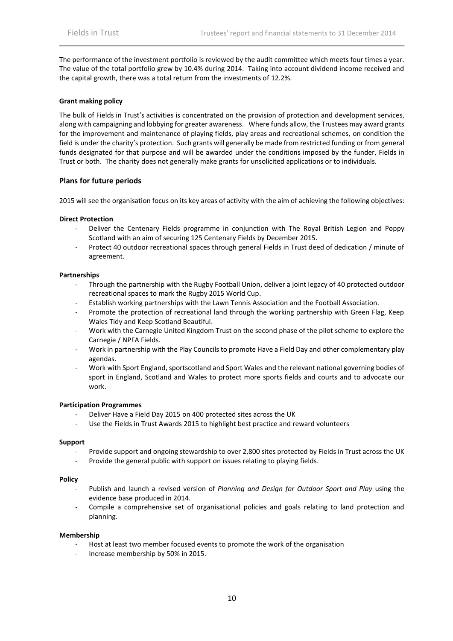The performance of the investment portfolio is reviewed by the audit committee which meets four times a year. The value of the total portfolio grew by 10.4% during 2014. Taking into account dividend income received and the capital growth, there was a total return from the investments of 12.2%.

#### **Grant making policy**

The bulk of Fields in Trust's activities is concentrated on the provision of protection and development services, along with campaigning and lobbying for greater awareness. Where funds allow, the Trustees may award grants for the improvement and maintenance of playing fields, play areas and recreational schemes, on condition the field is under the charity's protection. Such grants will generally be made from restricted funding or from general funds designated for that purpose and will be awarded under the conditions imposed by the funder, Fields in Trust or both. The charity does not generally make grants for unsolicited applications or to individuals.

#### **Plans for future periods**

2015 will see the organisation focus on its key areas of activity with the aim of achieving the following objectives:

#### **Direct Protection**

- Deliver the Centenary Fields programme in conjunction with The Royal British Legion and Poppy Scotland with an aim of securing 125 Centenary Fields by December 2015.
- Protect 40 outdoor recreational spaces through general Fields in Trust deed of dedication / minute of agreement.

#### **Partnerships**

- Through the partnership with the Rugby Football Union, deliver a joint legacy of 40 protected outdoor recreational spaces to mark the Rugby 2015 World Cup.
- Establish working partnerships with the Lawn Tennis Association and the Football Association.
- Promote the protection of recreational land through the working partnership with Green Flag, Keep Wales Tidy and Keep Scotland Beautiful.
- Work with the Carnegie United Kingdom Trust on the second phase of the pilot scheme to explore the Carnegie / NPFA Fields.
- Work in partnership with the Play Councils to promote Have a Field Day and other complementary play agendas.
- Work with Sport England, sportscotland and Sport Wales and the relevant national governing bodies of sport in England, Scotland and Wales to protect more sports fields and courts and to advocate our work.

#### **Participation Programmes**

- Deliver Have a Field Day 2015 on 400 protected sites across the UK
- Use the Fields in Trust Awards 2015 to highlight best practice and reward volunteers

#### **Support**

- Provide support and ongoing stewardship to over 2,800 sites protected by Fields in Trust across the UK
- Provide the general public with support on issues relating to playing fields.

#### **Policy**

- Publish and launch a revised version of *Planning and Design for Outdoor Sport and Play* using the evidence base produced in 2014.
- Compile a comprehensive set of organisational policies and goals relating to land protection and planning.

#### **Membership**

- Host at least two member focused events to promote the work of the organisation
- Increase membership by 50% in 2015.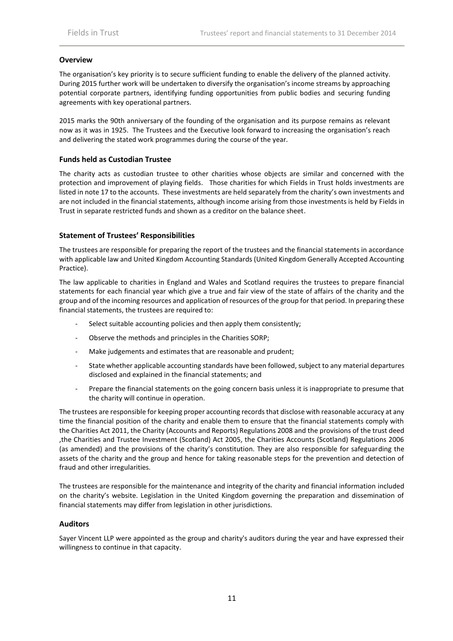#### **Overview**

The organisation's key priority is to secure sufficient funding to enable the delivery of the planned activity. During 2015 further work will be undertaken to diversify the organisation's income streams by approaching potential corporate partners, identifying funding opportunities from public bodies and securing funding agreements with key operational partners.

2015 marks the 90th anniversary of the founding of the organisation and its purpose remains as relevant now as it was in 1925. The Trustees and the Executive look forward to increasing the organisation's reach and delivering the stated work programmes during the course of the year.

#### **Funds held as Custodian Trustee**

The charity acts as custodian trustee to other charities whose objects are similar and concerned with the protection and improvement of playing fields. Those charities for which Fields in Trust holds investments are listed in note 17 to the accounts. These investments are held separately from the charity's own investments and are not included in the financial statements, although income arising from those investments is held by Fields in Trust in separate restricted funds and shown as a creditor on the balance sheet.

#### **Statement of Trustees' Responsibilities**

The trustees are responsible for preparing the report of the trustees and the financial statements in accordance with applicable law and United Kingdom Accounting Standards (United Kingdom Generally Accepted Accounting Practice).

The law applicable to charities in England and Wales and Scotland requires the trustees to prepare financial statements for each financial year which give a true and fair view of the state of affairs of the charity and the group and of the incoming resources and application of resources of the group for that period. In preparing these financial statements, the trustees are required to:

- Select suitable accounting policies and then apply them consistently;
- Observe the methods and principles in the Charities SORP;
- Make judgements and estimates that are reasonable and prudent;
- State whether applicable accounting standards have been followed, subject to any material departures disclosed and explained in the financial statements; and
- Prepare the financial statements on the going concern basis unless it is inappropriate to presume that the charity will continue in operation.

The trustees are responsible for keeping proper accounting records that disclose with reasonable accuracy at any time the financial position of the charity and enable them to ensure that the financial statements comply with the Charities Act 2011, the Charity (Accounts and Reports) Regulations 2008 and the provisions of the trust deed ,the Charities and Trustee Investment (Scotland) Act 2005, the Charities Accounts (Scotland) Regulations 2006 (as amended) and the provisions of the charity's constitution. They are also responsible for safeguarding the assets of the charity and the group and hence for taking reasonable steps for the prevention and detection of fraud and other irregularities.

The trustees are responsible for the maintenance and integrity of the charity and financial information included on the charity's website. Legislation in the United Kingdom governing the preparation and dissemination of financial statements may differ from legislation in other jurisdictions.

#### **Auditors**

Sayer Vincent LLP were appointed as the group and charity's auditors during the year and have expressed their willingness to continue in that capacity.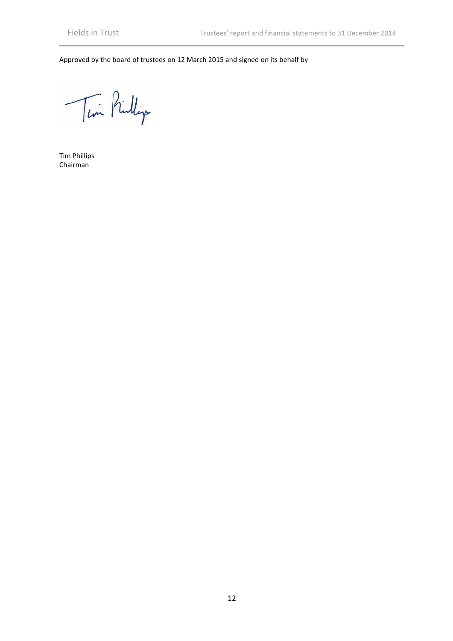Approved by the board of trustees on 12 March 2015 and signed on its behalf by

Tim Pinlip

Tim Phillips Chairman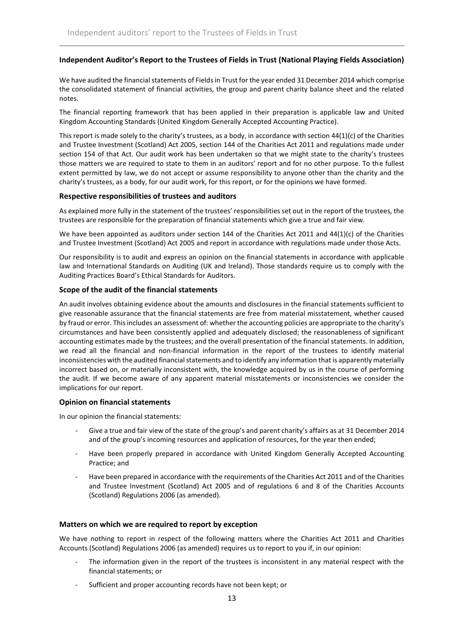### **Independent Auditor's Report to the Trustees of Fields in Trust (National Playing Fields Association)**

We have audited the financial statements of Fields in Trust for the year ended 31 December 2014 which comprise the consolidated statement of financial activities, the group and parent charity balance sheet and the related notes.

The financial reporting framework that has been applied in their preparation is applicable law and United Kingdom Accounting Standards (United Kingdom Generally Accepted Accounting Practice).

This report is made solely to the charity's trustees, as a body, in accordance with section 44(1)(c) of the Charities and Trustee Investment (Scotland) Act 2005, section 144 of the Charities Act 2011 and regulations made under section 154 of that Act. Our audit work has been undertaken so that we might state to the charity's trustees those matters we are required to state to them in an auditors' report and for no other purpose. To the fullest extent permitted by law, we do not accept or assume responsibility to anyone other than the charity and the charity's trustees, as a body, for our audit work, for this report, or for the opinions we have formed.

#### **Respective responsibilities of trustees and auditors**

As explained more fully in the statement of the trustees' responsibilities set out in the report of the trustees, the trustees are responsible for the preparation of financial statements which give a true and fair view.

We have been appointed as auditors under section 144 of the Charities Act 2011 and 44(1)(c) of the Charities and Trustee Investment (Scotland) Act 2005 and report in accordance with regulations made under those Acts.

Our responsibility is to audit and express an opinion on the financial statements in accordance with applicable law and International Standards on Auditing (UK and Ireland). Those standards require us to comply with the Auditing Practices Board's Ethical Standards for Auditors.

#### **Scope of the audit of the financial statements**

An audit involves obtaining evidence about the amounts and disclosures in the financial statements sufficient to give reasonable assurance that the financial statements are free from material misstatement, whether caused by fraud or error. This includes an assessment of: whether the accounting policies are appropriate to the charity's circumstances and have been consistently applied and adequately disclosed; the reasonableness of significant accounting estimates made by the trustees; and the overall presentation of the financial statements. In addition, we read all the financial and non-financial information in the report of the trustees to identify material inconsistencies with the audited financial statements and to identify any information that is apparently materially incorrect based on, or materially inconsistent with, the knowledge acquired by us in the course of performing the audit. If we become aware of any apparent material misstatements or inconsistencies we consider the implications for our report.

#### **Opinion on financial statements**

In our opinion the financial statements:

- Give a true and fair view of the state of the group's and parent charity's affairs as at 31 December 2014 and of the group's incoming resources and application of resources, for the year then ended;
- Have been properly prepared in accordance with United Kingdom Generally Accepted Accounting Practice; and
- Have been prepared in accordance with the requirements of the Charities Act 2011 and of the Charities and Trustee Investment (Scotland) Act 2005 and of regulations 6 and 8 of the Charities Accounts (Scotland) Regulations 2006 (as amended).

#### **Matters on which we are required to report by exception**

We have nothing to report in respect of the following matters where the Charities Act 2011 and Charities Accounts (Scotland) Regulations 2006 (as amended) requires us to report to you if, in our opinion:

- The information given in the report of the trustees is inconsistent in any material respect with the financial statements; or
- Sufficient and proper accounting records have not been kept; or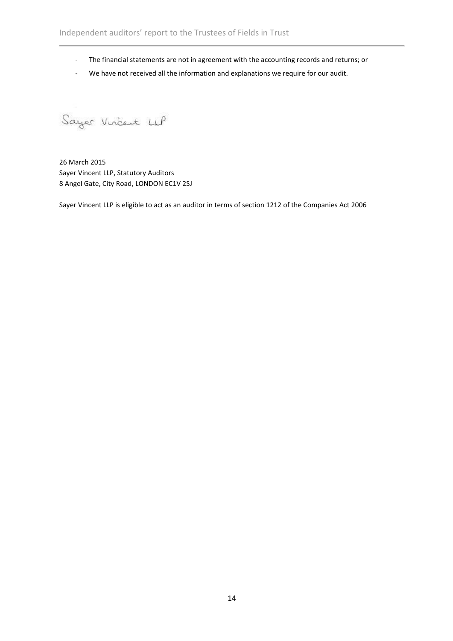- The financial statements are not in agreement with the accounting records and returns; or
- We have not received all the information and explanations we require for our audit.

Sayer Vincent UP

26 March 2015 Sayer Vincent LLP, Statutory Auditors 8 Angel Gate, City Road, LONDON EC1V 2SJ

Sayer Vincent LLP is eligible to act as an auditor in terms of section 1212 of the Companies Act 2006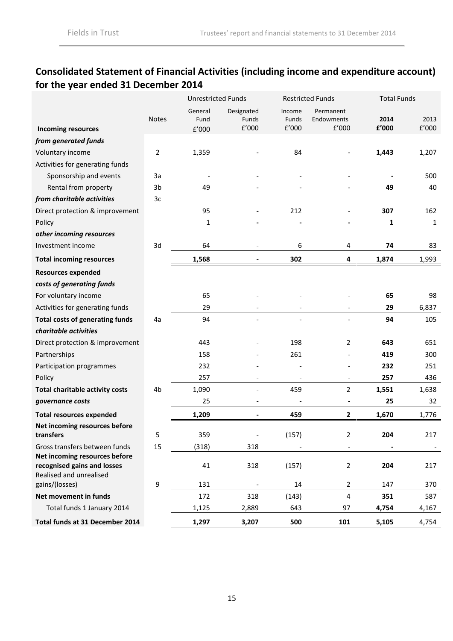# **Consolidated Statement of Financial Activities (including income and expenditure account) for the year ended 31 December 2014**

|                                                                                         |                | <b>Unrestricted Funds</b> |                              |                          | <b>Restricted Funds</b>          | <b>Total Funds</b> |               |
|-----------------------------------------------------------------------------------------|----------------|---------------------------|------------------------------|--------------------------|----------------------------------|--------------------|---------------|
| <b>Incoming resources</b>                                                               | <b>Notes</b>   | General<br>Fund<br>E'000  | Designated<br>Funds<br>f'000 | Income<br>Funds<br>f'000 | Permanent<br>Endowments<br>E'000 | 2014<br>£'000      | 2013<br>f'000 |
| from generated funds                                                                    |                |                           |                              |                          |                                  |                    |               |
| Voluntary income                                                                        | $\overline{2}$ | 1,359                     |                              | 84                       |                                  | 1,443              | 1,207         |
| Activities for generating funds                                                         |                |                           |                              |                          |                                  |                    |               |
| Sponsorship and events                                                                  | 3a             |                           |                              |                          |                                  |                    | 500           |
| Rental from property                                                                    | 3 <sub>b</sub> | 49                        |                              |                          |                                  | 49                 | 40            |
| from charitable activities                                                              | 3c             |                           |                              |                          |                                  |                    |               |
| Direct protection & improvement                                                         |                | 95                        |                              | 212                      |                                  | 307                | 162           |
| Policy                                                                                  |                | 1                         |                              |                          |                                  | 1                  | 1             |
| other incoming resources                                                                |                |                           |                              |                          |                                  |                    |               |
| Investment income                                                                       | 3d             | 64                        |                              | 6                        | 4                                | 74                 | 83            |
| <b>Total incoming resources</b>                                                         |                | 1,568                     | $\blacksquare$               | 302                      | 4                                | 1,874              | 1,993         |
| <b>Resources expended</b>                                                               |                |                           |                              |                          |                                  |                    |               |
| costs of generating funds                                                               |                |                           |                              |                          |                                  |                    |               |
| For voluntary income                                                                    |                | 65                        |                              |                          |                                  | 65                 | 98            |
| Activities for generating funds                                                         |                | 29                        |                              |                          |                                  | 29                 | 6,837         |
| <b>Total costs of generating funds</b>                                                  | 4a             | 94                        |                              |                          |                                  | 94                 | 105           |
| charitable activities                                                                   |                |                           |                              |                          |                                  |                    |               |
| Direct protection & improvement                                                         |                | 443                       |                              | 198                      | 2                                | 643                | 651           |
| Partnerships                                                                            |                | 158                       |                              | 261                      |                                  | 419                | 300           |
| Participation programmes                                                                |                | 232                       |                              |                          |                                  | 232                | 251           |
| Policy                                                                                  |                | 257                       |                              |                          | $\overline{\phantom{a}}$         | 257                | 436           |
| <b>Total charitable activity costs</b>                                                  | 4b             | 1,090                     |                              | 459                      | $\overline{2}$                   | 1,551              | 1,638         |
| governance costs                                                                        |                | 25                        |                              |                          | $\blacksquare$                   | 25                 | 32            |
| <b>Total resources expended</b>                                                         |                | 1,209                     | $\qquad \qquad \blacksquare$ | 459                      | $\mathbf{2}$                     | 1,670              | 1,776         |
| Net incoming resources before                                                           |                |                           |                              |                          |                                  |                    |               |
| transfers                                                                               | 5              | 359                       |                              | (157)                    | 2                                | 204                | 217           |
| Gross transfers between funds                                                           | 15             | (318)                     | 318                          |                          |                                  |                    |               |
| Net incoming resources before<br>recognised gains and losses<br>Realised and unrealised |                | 41                        | 318                          | (157)                    | 2                                | 204                | 217           |
| gains/(losses)                                                                          | 9              | 131                       |                              | 14                       | $\overline{2}$                   | 147                | 370           |
| Net movement in funds                                                                   |                | 172                       | 318                          | (143)                    | 4                                | 351                | 587           |
| Total funds 1 January 2014                                                              |                | 1,125                     | 2,889                        | 643                      | 97                               | 4,754              | 4,167         |
| Total funds at 31 December 2014                                                         |                | 1,297                     | 3,207                        | 500                      | 101                              | 5,105              | 4,754         |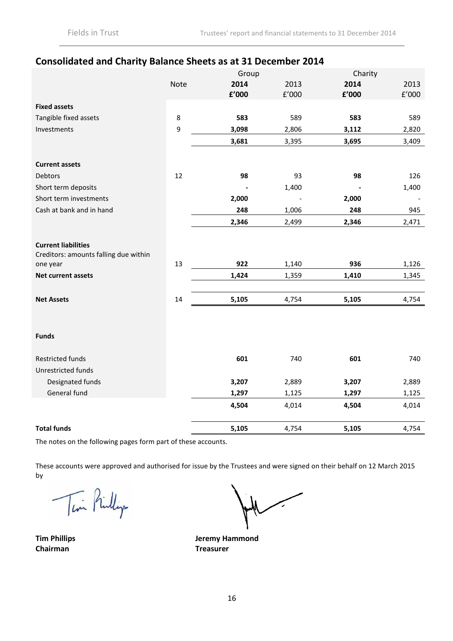# **Consolidated and Charity Balance Sheets as at 31 December 2014**

|                                                                     |             | Group |       | Charity |       |
|---------------------------------------------------------------------|-------------|-------|-------|---------|-------|
|                                                                     | <b>Note</b> | 2014  | 2013  | 2014    | 2013  |
|                                                                     |             | £'000 | f'000 | f'000   | E'000 |
| <b>Fixed assets</b>                                                 |             |       |       |         |       |
| Tangible fixed assets                                               | 8           | 583   | 589   | 583     | 589   |
| Investments                                                         | 9           | 3,098 | 2,806 | 3,112   | 2,820 |
|                                                                     |             | 3,681 | 3,395 | 3,695   | 3,409 |
| <b>Current assets</b>                                               |             |       |       |         |       |
| Debtors                                                             | 12          | 98    | 93    | 98      | 126   |
| Short term deposits                                                 |             |       | 1,400 |         | 1,400 |
| Short term investments                                              |             | 2,000 |       | 2,000   |       |
| Cash at bank and in hand                                            |             | 248   | 1,006 | 248     | 945   |
|                                                                     |             | 2,346 | 2,499 | 2,346   | 2,471 |
| <b>Current liabilities</b><br>Creditors: amounts falling due within |             |       |       |         |       |
| one year                                                            | 13          | 922   | 1,140 | 936     | 1,126 |
| Net current assets                                                  |             | 1,424 | 1,359 | 1,410   | 1,345 |
| <b>Net Assets</b>                                                   | 14          | 5,105 | 4,754 | 5,105   | 4,754 |
| <b>Funds</b>                                                        |             |       |       |         |       |
| <b>Restricted funds</b><br>Unrestricted funds                       |             | 601   | 740   | 601     | 740   |
| Designated funds                                                    |             | 3,207 | 2,889 | 3,207   | 2,889 |
| General fund                                                        |             | 1,297 | 1,125 | 1,297   | 1,125 |
|                                                                     |             | 4,504 | 4,014 | 4,504   | 4,014 |
| <b>Total funds</b>                                                  |             | 5,105 | 4,754 | 5,105   | 4,754 |

The notes on the following pages form part of these accounts.

These accounts were approved and authorised for issue by the Trustees and were signed on their behalf on 12 March 2015 by

Tim Pinlip

**Tim Phillips Chairman**

**Jeremy Hammond Treasurer**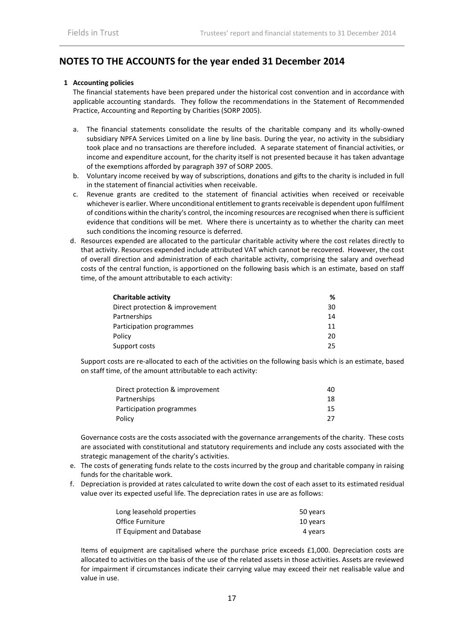## **NOTES TO THE ACCOUNTS for the year ended 31 December 2014**

#### **1 Accounting policies**

The financial statements have been prepared under the historical cost convention and in accordance with applicable accounting standards. They follow the recommendations in the Statement of Recommended Practice, Accounting and Reporting by Charities (SORP 2005).

- a. The financial statements consolidate the results of the charitable company and its wholly-owned subsidiary NPFA Services Limited on a line by line basis. During the year, no activity in the subsidiary took place and no transactions are therefore included. A separate statement of financial activities, or income and expenditure account, for the charity itself is not presented because it has taken advantage of the exemptions afforded by paragraph 397 of SORP 2005.
- b. Voluntary income received by way of subscriptions, donations and gifts to the charity is included in full in the statement of financial activities when receivable.
- c. Revenue grants are credited to the statement of financial activities when received or receivable whichever is earlier. Where unconditional entitlement to grants receivable is dependent upon fulfilment of conditions within the charity's control, the incoming resources are recognised when there is sufficient evidence that conditions will be met. Where there is uncertainty as to whether the charity can meet such conditions the incoming resource is deferred.
- d. Resources expended are allocated to the particular charitable activity where the cost relates directly to that activity. Resources expended include attributed VAT which cannot be recovered. However, the cost of overall direction and administration of each charitable activity, comprising the salary and overhead costs of the central function, is apportioned on the following basis which is an estimate, based on staff time, of the amount attributable to each activity:

| Charitable activity             | ℅  |
|---------------------------------|----|
| Direct protection & improvement | 30 |
| Partnerships                    | 14 |
| Participation programmes        | 11 |
| Policy                          | 20 |
| Support costs                   | 25 |

Support costs are re-allocated to each of the activities on the following basis which is an estimate, based on staff time, of the amount attributable to each activity:

| Direct protection & improvement | 40   |
|---------------------------------|------|
| Partnerships                    | 18   |
| Participation programmes        | 15   |
| Policy                          | - 27 |

Governance costs are the costs associated with the governance arrangements of the charity. These costs are associated with constitutional and statutory requirements and include any costs associated with the strategic management of the charity's activities.

- e. The costs of generating funds relate to the costs incurred by the group and charitable company in raising funds for the charitable work.
- f. Depreciation is provided at rates calculated to write down the cost of each asset to its estimated residual value over its expected useful life. The depreciation rates in use are as follows:

| Long leasehold properties | 50 years |
|---------------------------|----------|
| Office Furniture          | 10 years |
| IT Equipment and Database | 4 vears  |

Items of equipment are capitalised where the purchase price exceeds £1,000. Depreciation costs are allocated to activities on the basis of the use of the related assets in those activities. Assets are reviewed for impairment if circumstances indicate their carrying value may exceed their net realisable value and value in use.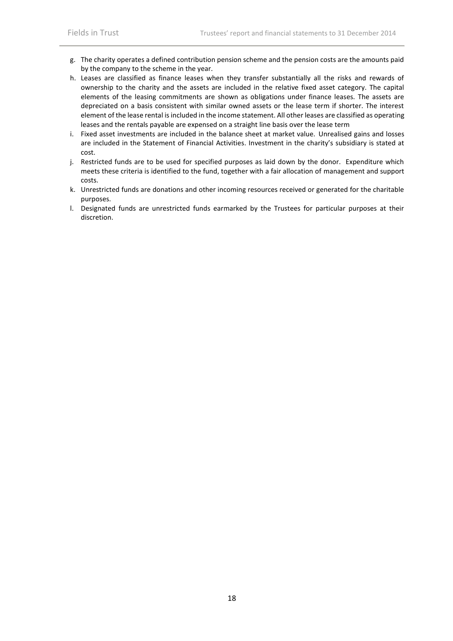- g. The charity operates a defined contribution pension scheme and the pension costs are the amounts paid by the company to the scheme in the year.
- h. Leases are classified as finance leases when they transfer substantially all the risks and rewards of ownership to the charity and the assets are included in the relative fixed asset category. The capital elements of the leasing commitments are shown as obligations under finance leases. The assets are depreciated on a basis consistent with similar owned assets or the lease term if shorter. The interest element of the lease rental is included in the income statement. All other leases are classified as operating leases and the rentals payable are expensed on a straight line basis over the lease term
- i. Fixed asset investments are included in the balance sheet at market value. Unrealised gains and losses are included in the Statement of Financial Activities. Investment in the charity's subsidiary is stated at cost.
- j. Restricted funds are to be used for specified purposes as laid down by the donor. Expenditure which meets these criteria is identified to the fund, together with a fair allocation of management and support costs.
- k. Unrestricted funds are donations and other incoming resources received or generated for the charitable purposes.
- l. Designated funds are unrestricted funds earmarked by the Trustees for particular purposes at their discretion.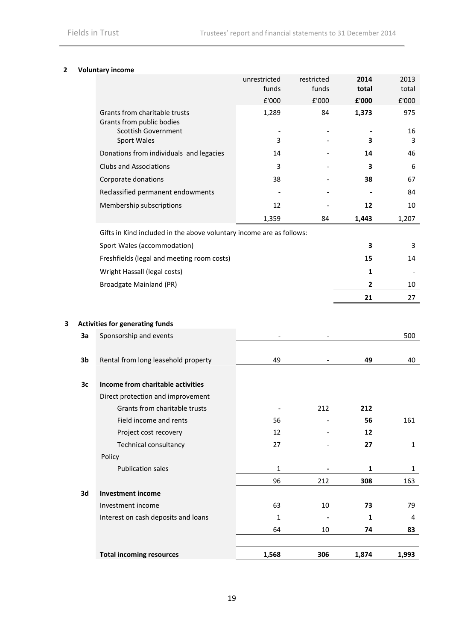## **2 Voluntary income**

|   |    |                                                                      | unrestricted<br>funds | restricted<br>funds | 2014<br>total | 2013<br>total |
|---|----|----------------------------------------------------------------------|-----------------------|---------------------|---------------|---------------|
|   |    |                                                                      | £'000                 | £'000               | £'000         | £'000         |
|   |    | Grants from charitable trusts<br>Grants from public bodies           | 1,289                 | 84                  | 1,373         | 975           |
|   |    | <b>Scottish Government</b>                                           | 3                     |                     | 3             | 16            |
|   |    | Sport Wales                                                          |                       |                     |               | 3             |
|   |    | Donations from individuals and legacies                              | 14                    |                     | 14            | 46            |
|   |    | <b>Clubs and Associations</b>                                        | 3                     |                     | 3             | 6             |
|   |    | Corporate donations                                                  | 38                    |                     | 38            | 67            |
|   |    | Reclassified permanent endowments                                    |                       |                     |               | 84            |
|   |    | Membership subscriptions                                             | 12                    |                     | 12            | 10            |
|   |    |                                                                      | 1,359                 | 84                  | 1,443         | 1,207         |
|   |    | Gifts in Kind included in the above voluntary income are as follows: |                       |                     |               |               |
|   |    | Sport Wales (accommodation)                                          |                       |                     | 3             | 3             |
|   |    | Freshfields (legal and meeting room costs)                           |                       |                     | 15            | 14            |
|   |    | Wright Hassall (legal costs)                                         |                       |                     | 1             |               |
|   |    | <b>Broadgate Mainland (PR)</b>                                       |                       |                     | 2             | 10            |
|   |    |                                                                      |                       |                     | 21            | 27            |
|   |    |                                                                      |                       |                     |               |               |
| 3 |    | <b>Activities for generating funds</b>                               |                       |                     |               |               |
|   | 3a | Sponsorship and events                                               |                       |                     |               | 500           |
|   |    |                                                                      |                       |                     |               |               |
|   | 3b | Rental from long leasehold property                                  | 49                    |                     | 49            | 40            |
|   |    |                                                                      |                       |                     |               |               |
|   | 3c | Income from charitable activities                                    |                       |                     |               |               |
|   |    | Direct protection and improvement                                    |                       |                     |               |               |
|   |    | Grants from charitable trusts                                        |                       | 212                 | 212           |               |
|   |    | Field income and rents                                               | 56                    |                     | 56            | 161           |
|   |    | Project cost recovery                                                | 12                    |                     | 12            |               |
|   |    | Technical consultancy                                                | 27                    |                     | 27            | 1             |
|   |    | Policy                                                               |                       |                     |               |               |
|   |    | <b>Publication sales</b>                                             | $\mathbf 1$           |                     | 1             | $\mathbf{1}$  |
|   |    |                                                                      | 96                    | 212                 | 308           | 163           |
|   | 3d | <b>Investment income</b><br>Investment income                        | 63                    | 10                  |               | 79            |
|   |    | Interest on cash deposits and loans                                  | $\mathbf{1}$          | $\blacksquare$      | 73<br>1       | 4             |
|   |    |                                                                      | 64                    | 10                  | 74            | 83            |
|   |    |                                                                      |                       |                     |               |               |
|   |    | <b>Total incoming resources</b>                                      | 1,568                 | 306                 | 1,874         | 1,993         |
|   |    |                                                                      |                       |                     |               |               |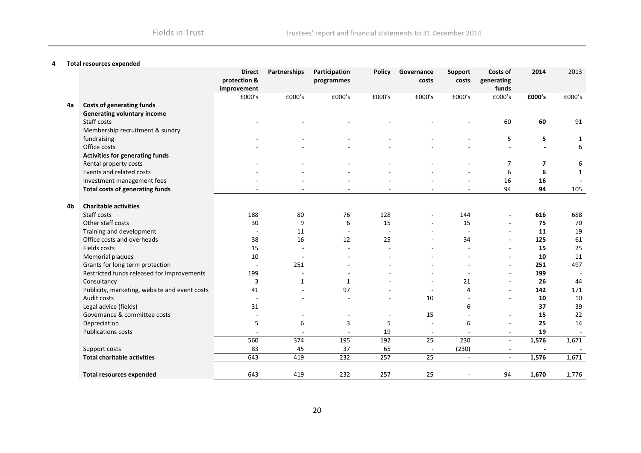#### **4 Total resources expended**

|    |                                               | <b>Direct</b><br>protection &<br>improvement | Partnerships   | Participation<br>programmes | <b>Policy</b>            | Governance<br>costs      | Support<br>costs | Costs of<br>generating<br>funds | 2014                     | 2013         |
|----|-----------------------------------------------|----------------------------------------------|----------------|-----------------------------|--------------------------|--------------------------|------------------|---------------------------------|--------------------------|--------------|
|    |                                               | £000's                                       | £000's         | £000's                      | £000's                   | £000's                   | £000's           | £000's                          | £000's                   | £000's       |
| 4a | <b>Costs of generating funds</b>              |                                              |                |                             |                          |                          |                  |                                 |                          |              |
|    | <b>Generating voluntary income</b>            |                                              |                |                             |                          |                          |                  |                                 |                          |              |
|    | Staff costs                                   |                                              |                |                             |                          |                          |                  | 60                              | 60                       | 91           |
|    | Membership recruitment & sundry               |                                              |                |                             |                          |                          |                  |                                 |                          |              |
|    | fundraising                                   |                                              |                |                             |                          |                          |                  | 5                               | 5                        | 1            |
|    | Office costs                                  |                                              |                |                             |                          |                          |                  |                                 | $\overline{\phantom{a}}$ | 6            |
|    | <b>Activities for generating funds</b>        |                                              |                |                             |                          |                          |                  |                                 |                          |              |
|    | Rental property costs                         |                                              |                |                             |                          |                          |                  | 7                               | 7                        | 6            |
|    | Events and related costs                      |                                              |                |                             |                          |                          |                  | 6                               | 6                        | $\mathbf{1}$ |
|    | Investment management fees                    |                                              |                |                             |                          |                          |                  | 16                              | 16                       |              |
|    | <b>Total costs of generating funds</b>        | $\sim$                                       | $\blacksquare$ | $\overline{\phantom{a}}$    | $\overline{\phantom{a}}$ |                          | $\blacksquare$   | 94                              | 94                       | 105          |
| 4b | <b>Charitable activities</b><br>Staff costs   | 188                                          | 80             | 76                          | 128                      |                          | 144              |                                 | 616                      | 688          |
|    | Other staff costs                             | 30                                           | 9              | 6                           | 15                       | $\overline{\phantom{a}}$ | 15               |                                 | 75                       | 70           |
|    | Training and development                      |                                              | 11             | $\overline{a}$              | $\overline{\phantom{a}}$ |                          |                  | $\sim$                          | 11                       | 19           |
|    | Office costs and overheads                    | 38                                           | 16             | 12                          | 25                       |                          | 34               | $\sim$                          | 125                      | 61           |
|    | Fields costs                                  | 15                                           |                |                             |                          |                          |                  | $\sim$                          | 15                       | 25           |
|    | Memorial plaques                              | 10                                           |                |                             |                          |                          |                  | $\overline{a}$                  | 10                       | 11           |
|    | Grants for long term protection               |                                              | 251            |                             |                          |                          |                  | $\sim$                          | 251                      | 497          |
|    | Restricted funds released for improvements    | 199                                          |                |                             |                          |                          |                  | ۰.                              | 199                      |              |
|    | Consultancy                                   | 3                                            | 1              | 1                           |                          |                          | 21               | $\sim$                          | 26                       | 44           |
|    | Publicity, marketing, website and event costs | 41                                           |                | 97                          |                          |                          | 4                | $\sim$                          | 142                      | 171          |
|    | Audit costs                                   |                                              |                |                             |                          | 10                       |                  | $\sim$                          | 10                       | 10           |
|    | Legal advice (fields)                         | 31                                           |                |                             |                          |                          | 6                |                                 | 37                       | 39           |
|    | Governance & committee costs                  |                                              |                |                             |                          | 15                       |                  |                                 | 15                       | 22           |
|    | Depreciation                                  | 5                                            | 6              | 3                           | 5                        |                          | 6                |                                 | 25                       | 14           |
|    | <b>Publications costs</b>                     |                                              |                |                             | 19                       | $\sim$                   |                  | $\overline{\phantom{a}}$        | 19                       |              |
|    |                                               | 560                                          | 374            | 195                         | 192                      | 25                       | 230              |                                 | 1,576                    | 1,671        |
|    | Support costs                                 | 83                                           | 45             | 37                          | 65                       |                          | (230)            | $\overline{\phantom{a}}$        | $\blacksquare$           |              |
|    | <b>Total charitable activities</b>            | 643                                          | 419            | 232                         | 257                      | 25                       | $\blacksquare$   | $\sim$                          | 1,576                    | 1,671        |
|    | <b>Total resources expended</b>               | 643                                          | 419            | 232                         | 257                      | 25                       |                  | 94                              | 1,670                    | 1,776        |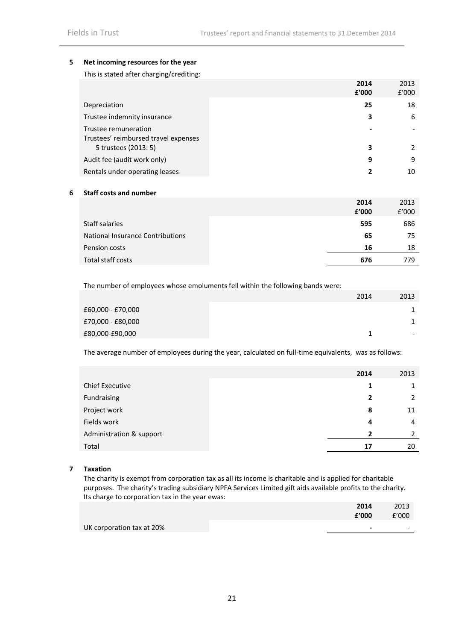#### **5 Net incoming resources for the year**

This is stated after charging/crediting:

|                                                              | 2014<br>£'000 | 2013<br>£'000 |
|--------------------------------------------------------------|---------------|---------------|
| Depreciation                                                 | 25            | 18            |
| Trustee indemnity insurance                                  | 3             | 6             |
| Trustee remuneration<br>Trustees' reimbursed travel expenses |               |               |
| 5 trustees (2013: 5)                                         | 3             | 2             |
| Audit fee (audit work only)                                  | 9             | 9             |
| Rentals under operating leases                               | 2             | 10            |

#### **6 Staff costs and number**

|                                  | 2014<br>£'000 | 2013<br>£'000 |
|----------------------------------|---------------|---------------|
| Staff salaries                   | 595           | 686           |
| National Insurance Contributions | 65            | 75            |
| Pension costs                    | 16            | 18            |
| Total staff costs                | 676           | 779.          |

The number of employees whose emoluments fell within the following bands were:

|                   | 2014 | 2013 |
|-------------------|------|------|
| £60,000 - £70,000 |      |      |
| £70,000 - £80,000 |      |      |
| £80,000-£90,000   |      | -    |

The average number of employees during the year, calculated on full-time equivalents, was as follows:

|                          | 2014 | 2013          |
|--------------------------|------|---------------|
| <b>Chief Executive</b>   |      | 1             |
| Fundraising              |      | 2             |
| Project work             | 8    | 11            |
| Fields work              | 4    | 4             |
| Administration & support | 2    | $\mathcal{L}$ |
| Total                    | 17   | 20            |

#### **7 Taxation**

The charity is exempt from corporation tax as all its income is charitable and is applied for charitable purposes. The charity's trading subsidiary NPFA Services Limited gift aids available profits to the charity. Its charge to corporation tax in the year ewas:

|                           | 2014  | 2013                     |
|---------------------------|-------|--------------------------|
|                           | f'000 | f'000                    |
| UK corporation tax at 20% | -     | $\overline{\phantom{0}}$ |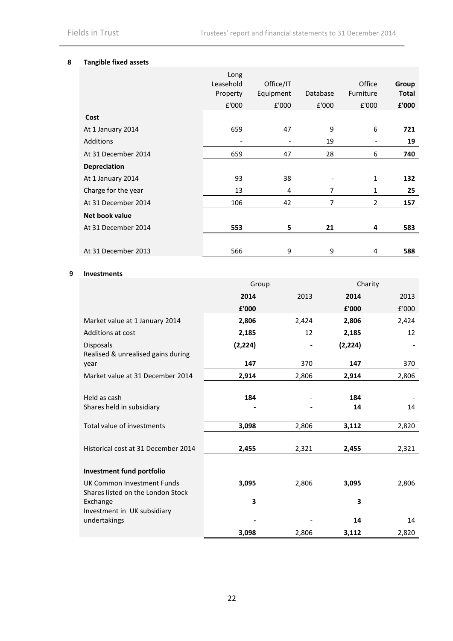#### **8 Tangible fixed assets**

| £'000<br>£'000<br>£'000<br>£'000<br>Cost<br>6<br>47<br>9<br>659<br>At 1 January 2014<br><b>Additions</b><br>19<br>٠<br>47<br>28<br>6<br>At 31 December 2014<br>659<br><b>Depreciation</b><br>93<br>38<br>1<br>At 1 January 2014<br>7<br>Charge for the year<br>13<br>4<br>1 | Group<br><b>Total</b> |
|-----------------------------------------------------------------------------------------------------------------------------------------------------------------------------------------------------------------------------------------------------------------------------|-----------------------|
|                                                                                                                                                                                                                                                                             | £'000                 |
|                                                                                                                                                                                                                                                                             |                       |
|                                                                                                                                                                                                                                                                             | 721                   |
|                                                                                                                                                                                                                                                                             | 19                    |
|                                                                                                                                                                                                                                                                             | 740                   |
|                                                                                                                                                                                                                                                                             |                       |
|                                                                                                                                                                                                                                                                             | 132                   |
|                                                                                                                                                                                                                                                                             | 25                    |
| 7<br>At 31 December 2014<br>106<br>42<br>$\overline{2}$                                                                                                                                                                                                                     | 157                   |
| Net book value                                                                                                                                                                                                                                                              |                       |
| At 31 December 2014<br>553<br>5<br>21<br>4                                                                                                                                                                                                                                  | 583                   |
|                                                                                                                                                                                                                                                                             |                       |
| 9<br>At 31 December 2013<br>566<br>9<br>4                                                                                                                                                                                                                                   | 588                   |

#### **9 Investments**

|                                                                 | Group    |       |          | Charity |
|-----------------------------------------------------------------|----------|-------|----------|---------|
|                                                                 | 2014     | 2013  | 2014     | 2013    |
|                                                                 | £'000    |       | £'000    | £'000   |
| Market value at 1 January 2014                                  | 2,806    | 2,424 | 2,806    | 2,424   |
| <b>Additions at cost</b>                                        | 2,185    | 12    | 2,185    | 12      |
| Disposals                                                       | (2, 224) |       | (2, 224) |         |
| Realised & unrealised gains during<br>year                      | 147      | 370   | 147      | 370     |
| Market value at 31 December 2014                                | 2,914    | 2,806 | 2,914    | 2,806   |
|                                                                 |          |       |          |         |
| Held as cash                                                    | 184      |       | 184      |         |
| Shares held in subsidiary                                       |          |       | 14       | 14      |
| Total value of investments                                      | 3,098    | 2,806 | 3,112    | 2,820   |
| Historical cost at 31 December 2014                             | 2,455    | 2,321 | 2,455    | 2,321   |
| Investment fund portfolio                                       |          |       |          |         |
| UK Common Investment Funds<br>Shares listed on the London Stock | 3,095    | 2,806 | 3,095    | 2,806   |
| Exchange                                                        | 3        |       | 3        |         |
| Investment in UK subsidiary                                     |          |       |          |         |
| undertakings                                                    |          |       | 14       | 14      |
|                                                                 | 3,098    | 2,806 | 3,112    | 2,820   |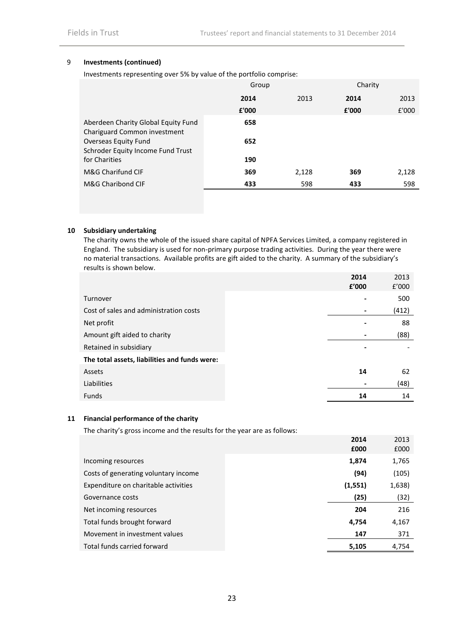#### 9 **Investments (continued)**

Investments representing over 5% by value of the portfolio comprise:

|                                                                     | Group |       |       | Charity |  |
|---------------------------------------------------------------------|-------|-------|-------|---------|--|
|                                                                     | 2014  | 2013  | 2014  | 2013    |  |
|                                                                     | £'000 |       | £'000 | £'000   |  |
| Aberdeen Charity Global Equity Fund<br>Chariguard Common investment | 658   |       |       |         |  |
| Overseas Equity Fund<br>Schroder Equity Income Fund Trust           | 652   |       |       |         |  |
| for Charities                                                       | 190   |       |       |         |  |
| M&G Charifund CIF                                                   | 369   | 2,128 | 369   | 2,128   |  |
| M&G Charibond CIF                                                   | 433   | 598   | 433   | 598     |  |

#### **10 Subsidiary undertaking**

The charity owns the whole of the issued share capital of NPFA Services Limited, a company registered in England. The subsidiary is used for non-primary purpose trading activities. During the year there were no material transactions. Available profits are gift aided to the charity. A summary of the subsidiary's results is shown below.

|                                               | 2014<br>£'000 | 2013<br>f'000 |
|-----------------------------------------------|---------------|---------------|
| Turnover                                      |               | 500           |
| Cost of sales and administration costs        |               | (412)         |
| Net profit                                    |               | 88            |
| Amount gift aided to charity                  |               | (88)          |
| Retained in subsidiary                        |               |               |
| The total assets, liabilities and funds were: |               |               |
| Assets                                        | 14            | 62            |
| Liabilities                                   |               | (48)          |
| Funds                                         | 14            | 14            |

#### **11 Financial performance of the charity**

The charity's gross income and the results for the year are as follows:

|                                      | 2014<br>£000 | 2013<br>£000 |
|--------------------------------------|--------------|--------------|
| Incoming resources                   | 1,874        | 1,765        |
| Costs of generating voluntary income | (94)         | (105)        |
| Expenditure on charitable activities | (1, 551)     | 1,638)       |
| Governance costs                     | (25)         | (32)         |
| Net incoming resources               | 204          | 216          |
| Total funds brought forward          | 4,754        | 4,167        |
| Movement in investment values        | 147          | 371          |
| Total funds carried forward          | 5,105        | 4,754        |
|                                      |              |              |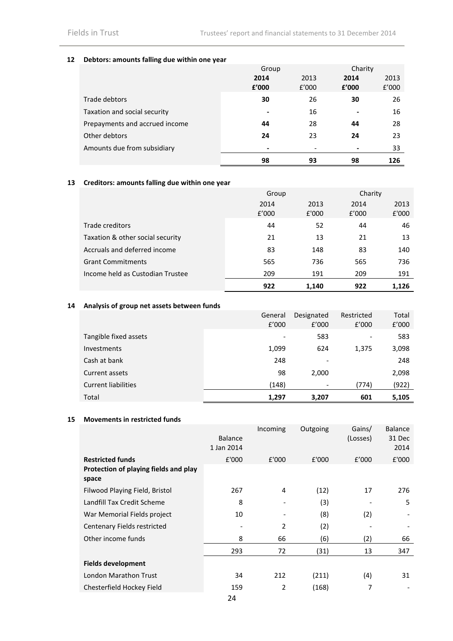#### **12 Debtors: amounts falling due within one year**

|                                | Group                    |       | Charity |       |  |
|--------------------------------|--------------------------|-------|---------|-------|--|
|                                | 2014                     | 2013  | 2014    | 2013  |  |
|                                | £'000                    | f'000 | £'000   | f'000 |  |
| Trade debtors                  | 30                       | 26    | 30      | 26    |  |
| Taxation and social security   | $\overline{\phantom{0}}$ | 16    |         | 16    |  |
| Prepayments and accrued income | 44                       | 28    | 44      | 28    |  |
| Other debtors                  | 24                       | 23    | 24      | 23    |  |
| Amounts due from subsidiary    | -                        |       |         | 33    |  |
|                                | 98                       | 93    | 98      | 126   |  |

## **13 Creditors: amounts falling due within one year**

|                                  | Group         |               |               | Charity       |
|----------------------------------|---------------|---------------|---------------|---------------|
|                                  | 2014<br>f'000 | 2013<br>£'000 | 2014<br>f'000 | 2013<br>£'000 |
| Trade creditors                  | 44            | 52            | 44            | 46            |
| Taxation & other social security | 21            | 13            | 21            | 13            |
| Accruals and deferred income     | 83            | 148           | 83            | 140           |
| <b>Grant Commitments</b>         | 565           | 736           | 565           | 736           |
| Income held as Custodian Trustee | 209           | 191           | 209           | 191           |
|                                  | 922           | 1.140         | 922           | 1.126         |

#### **14 Analysis of group net assets between funds**

|                            | General | Designated               | Restricted | Total |
|----------------------------|---------|--------------------------|------------|-------|
|                            | f'000   | f'000                    | f'000      | f'000 |
| Tangible fixed assets      | ۰       | 583                      |            | 583   |
| Investments                | 1,099   | 624                      | 1,375      | 3,098 |
| Cash at bank               | 248     | $\overline{\phantom{a}}$ |            | 248   |
| Current assets             | 98      | 2,000                    |            | 2,098 |
| <b>Current liabilities</b> | (148)   | $\overline{\phantom{0}}$ | (774)      | (922) |
| Total                      | 1,297   | 3,207                    | 601        | 5,105 |

#### **15 Movements in restricted funds**

|                                       | <b>Balance</b><br>1 Jan 2014 | Incoming | Outgoing | Gains/<br>(Losses) | <b>Balance</b><br>31 Dec<br>2014 |
|---------------------------------------|------------------------------|----------|----------|--------------------|----------------------------------|
| <b>Restricted funds</b>               | £'000                        | £'000    | £'000    | f'000              | E'000                            |
| Protection of playing fields and play |                              |          |          |                    |                                  |
| space                                 |                              |          |          |                    |                                  |
| Filwood Playing Field, Bristol        | 267                          | 4        | (12)     | 17                 | 276                              |
| Landfill Tax Credit Scheme            | 8                            |          | (3)      |                    | 5                                |
| War Memorial Fields project           | 10                           |          | (8)      | (2)                |                                  |
| Centenary Fields restricted           |                              | 2        | (2)      |                    |                                  |
| Other income funds                    | 8                            | 66       | (6)      | (2)                | 66                               |
|                                       | 293                          | 72       | (31)     | 13                 | 347                              |
| <b>Fields development</b>             |                              |          |          |                    |                                  |
| <b>London Marathon Trust</b>          | 34                           | 212      | (211)    | (4)                | 31                               |
| Chesterfield Hockey Field             | 159                          | 2        | (168)    | 7                  |                                  |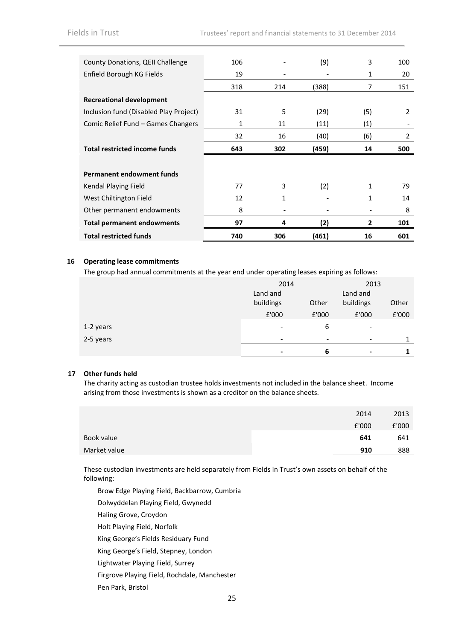| County Donations, QEII Challenge       | 106 |     | (9)   | 3   | 100            |
|----------------------------------------|-----|-----|-------|-----|----------------|
| Enfield Borough KG Fields              | 19  |     |       | 1   | 20             |
|                                        | 318 | 214 | (388) | 7   | 151            |
| <b>Recreational development</b>        |     |     |       |     |                |
| Inclusion fund (Disabled Play Project) | 31  | 5   | (29)  | (5) | $\overline{2}$ |
| Comic Relief Fund - Games Changers     | 1   | 11  | (11)  | (1) |                |
|                                        | 32  | 16  | (40)  | (6) | 2              |
| <b>Total restricted income funds</b>   | 643 | 302 | (459) | 14  | 500            |
|                                        |     |     |       |     |                |
| <b>Permanent endowment funds</b>       |     |     |       |     |                |
| Kendal Playing Field                   | 77  | 3   | (2)   | 1   | 79             |
| West Chiltington Field                 | 12  | 1   |       | 1   | 14             |
| Other permanent endowments             | 8   |     |       |     | 8              |
| <b>Total permanent endowments</b>      | 97  | 4   | (2)   | 2   | 101            |
| <b>Total restricted funds</b>          | 740 | 306 | (461) | 16  | 601            |

#### **16 Operating lease commitments**

The group had annual commitments at the year end under operating leases expiring as follows:

|           | 2014                     |       | 2013                     |               |
|-----------|--------------------------|-------|--------------------------|---------------|
|           | Land and                 |       | Land and                 |               |
|           | buildings                | Other | buildings                | Other         |
|           | £'000                    | £'000 | £'000                    | ${\tt f}'000$ |
| 1-2 years | $\overline{\phantom{a}}$ | 6     | $\overline{\phantom{0}}$ |               |
| 2-5 years | $\overline{\phantom{a}}$ | ۰     |                          | 1             |
|           | $\blacksquare$           | 6     | $\overline{\phantom{0}}$ | 1             |

#### **17 Other funds held**

The charity acting as custodian trustee holds investments not included in the balance sheet. Income arising from those investments is shown as a creditor on the balance sheets.

|              | 2014  | 2013  |
|--------------|-------|-------|
|              | £'000 | £'000 |
| Book value   | 641   | 641   |
| Market value | 910   | 888   |
|              |       |       |

These custodian investments are held separately from Fields in Trust's own assets on behalf of the following:

Brow Edge Playing Field, Backbarrow, Cumbria

Dolwyddelan Playing Field, Gwynedd

Haling Grove, Croydon

Holt Playing Field, Norfolk

King George's Fields Residuary Fund

King George's Field, Stepney, London

Lightwater Playing Field, Surrey

Firgrove Playing Field, Rochdale, Manchester

Pen Park, Bristol